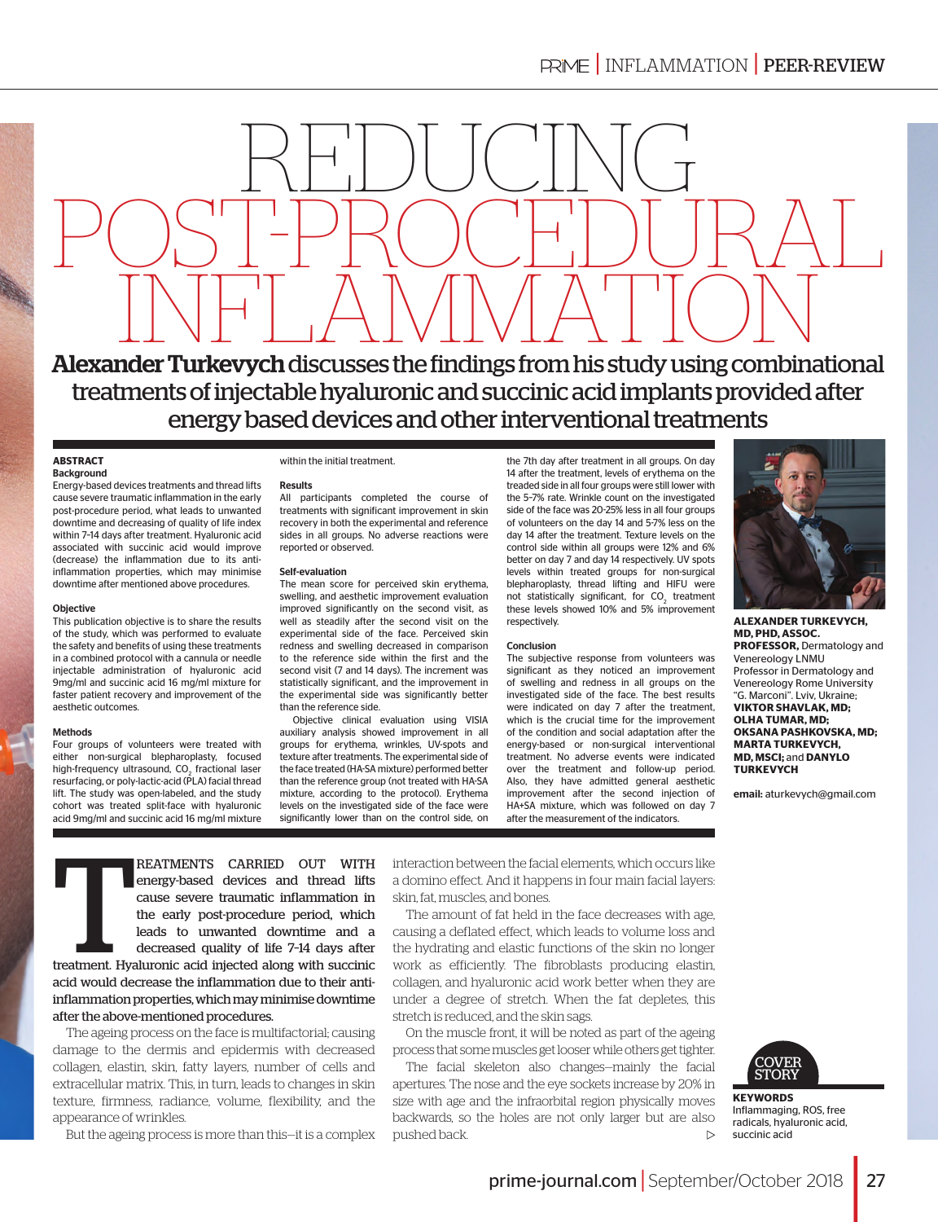

treatments of injectable hyaluronic and succinic acid implants provided after energy based devices and other interventional treatments

#### **ABSTRACT Background**

Energy-based devices treatments and thread lifts cause severe traumatic inflammation in the early post-procedure period, what leads to unwanted downtime and decreasing of quality of life index within 7–14 days after treatment. Hyaluronic acid associated with succinic acid would improve (decrease) the inflammation due to its antiinflammation properties, which may minimise downtime after mentioned above procedures.

### Objective

This publication objective is to share the results of the study, which was performed to evaluate the safety and benefits of using these treatments in a combined protocol with a cannula or needle injectable administration of hyaluronic acid 9mg/ml and succinic acid 16 mg/ml mixture for faster patient recovery and improvement of the aesthetic outcomes.

### Methods

Four groups of volunteers were treated with either non-surgical blepharoplasty, focused high-frequency ultrasound,  $CO<sub>2</sub>$  fractional laser resurfacing, or poly-lactic-acid (PLA) facial thread lift. The study was open-labeled, and the study cohort was treated split-face with hyaluronic acid 9mg/ml and succinic acid 16 mg/ml mixture

#### within the initial treatment.

#### **Results**

All participants completed the course of treatments with significant improvement in skin recovery in both the experimental and reference sides in all groups. No adverse reactions were reported or observed.

#### Self-evaluation

The mean score for perceived skin erythema, swelling, and aesthetic improvement evaluation improved significantly on the second visit, as well as steadily after the second visit on the experimental side of the face. Perceived skin redness and swelling decreased in comparison to the reference side within the first and the second visit (7 and 14 days). The increment was statistically significant, and the improvement in the experimental side was significantly better than the reference side.

Objective clinical evaluation using VISIA auxiliary analysis showed improvement in all groups for erythema, wrinkles, UV-spots and texture after treatments. The experimental side of the face treated (HA-SA mixture) performed better than the reference group (not treated with HA-SA mixture, according to the protocol). Erythema levels on the investigated side of the face were significantly lower than on the control side, on

the 7th day after treatment in all groups. On day 14 after the treatment, levels of erythema on the treaded side in all four groups were still lower with the 5–7% rate. Wrinkle count on the investigated side of the face was 20-25% less in all four groups of volunteers on the day 14 and 5-7% less on the day 14 after the treatment. Texture levels on the control side within all groups were 12% and 6% better on day 7 and day 14 respectively. UV spots levels within treated groups for non-surgical blepharoplasty, thread lifting and HIFU were not statistically significant, for  $CO<sub>2</sub>$  treatment these levels showed 10% and 5% improvement respectively.

### Conclusion

The subjective response from volunteers was significant as they noticed an improvement of swelling and redness in all groups on the investigated side of the face. The best results were indicated on day 7 after the treatment, which is the crucial time for the improvement of the condition and social adaptation after the energy-based or non-surgical interventional treatment. No adverse events were indicated over the treatment and follow-up period. Also, they have admitted general aesthetic improvement after the second injection of HA+SA mixture, which was followed on day 7 after the measurement of the indicators.



**ALEXANDER TURKEVYCH, MD, PHD, ASSOC. PROFESSOR,** Dermatology and Venereology LNMU Professor in Dermatology and Venereology Rome University "G. Marconi". Lviv, Ukraine; **VIKTOR SHAVLAK, MD; OLHA TUMAR, MD; OKSANA PASHKOVSKA, MD; MARTA TURKEVYCH, MD, MSCI;** and **DANYLO TURKEVYCH**

email: [aturkevych@gmail.com](mailto:aturkevych@gmail.com)

**Tarafactura (Figure 1)**<br>Treatment. Hya REATMENTS CARRIED OUT WITH energy-based devices and thread lifts cause severe traumatic inflammation in the early post-procedure period, which leads to unwanted downtime and a decreased quality of life 7–14 days after

treatment. Hyaluronic acid injected along with succinic acid would decrease the inflammation due to their antiinflammation properties, which may minimise downtime after the above-mentioned procedures.

The ageing process on the face is multifactorial; causing damage to the dermis and epidermis with decreased collagen, elastin, skin, fatty layers, number of cells and extracellular matrix. This, in turn, leads to changes in skin texture, firmness, radiance, volume, flexibility, and the appearance of wrinkles.

But the ageing process is more than this—it is a complex

interaction between the facial elements, which occurs like a domino effect. And it happens in four main facial layers: skin, fat, muscles, and bones.

The amount of fat held in the face decreases with age, causing a deflated effect, which leads to volume loss and the hydrating and elastic functions of the skin no longer work as efficiently. The fibroblasts producing elastin, collagen, and hyaluronic acid work better when they are under a degree of stretch. When the fat depletes, this stretch is reduced, and the skin sags.

On the muscle front, it will be noted as part of the ageing process that some muscles get looser while others get tighter.

The facial skeleton also changes—mainly the facial apertures. The nose and the eye sockets increase by 20% in size with age and the infraorbital region physically moves backwards, so the holes are not only larger but are also pushed back.  $\triangleright$ 



**KEYWORDS**  Inflammaging, ROS, free radicals, hyaluronic acid, succinic acid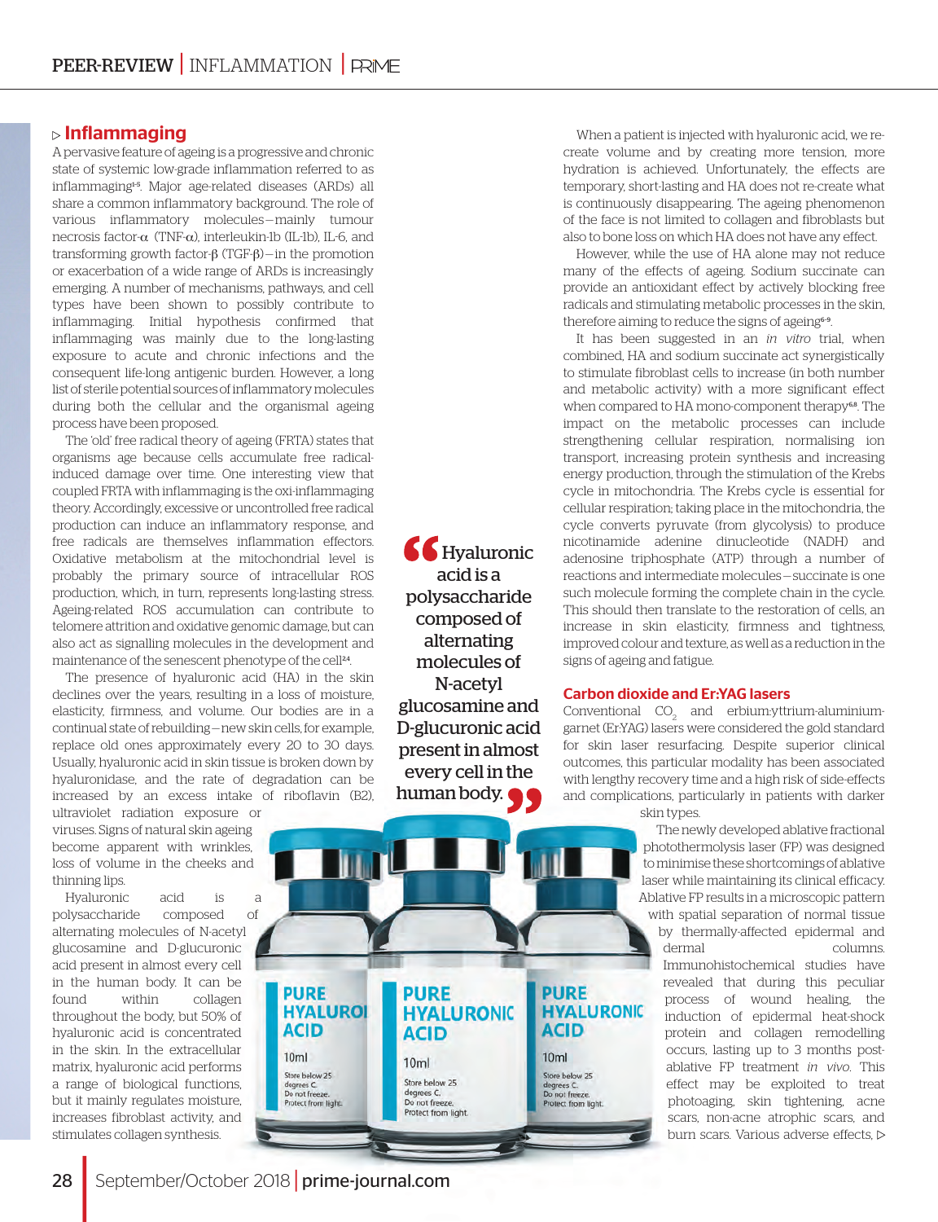# $\triangleright$  Inflammaging

A pervasive feature of ageing is a progressive and chronic state of systemic low-grade inflammation referred to as inflammaging1–5. Major age-related diseases (ARDs) all share a common inflammatory background. The role of various inflammatory molecules — mainly tumour necrosis factor-α (TNF-α), interleukin-1b (IL-1b), IL-6, and transforming growth factor-β (TGF-β) — in the promotion or exacerbation of a wide range of ARDs is increasingly emerging. A number of mechanisms, pathways, and cell types have been shown to possibly contribute to inflammaging. Initial hypothesis confirmed that inflammaging was mainly due to the long-lasting exposure to acute and chronic infections and the consequent life-long antigenic burden. However, a long list of sterile potential sources of inflammatory molecules during both the cellular and the organismal ageing process have been proposed.

The 'old' free radical theory of ageing (FRTA) states that organisms age because cells accumulate free radicalinduced damage over time. One interesting view that coupled FRTA with inflammaging is the oxi-inflammaging theory. Accordingly, excessive or uncontrolled free radical production can induce an inflammatory response, and free radicals are themselves inflammation effectors. Oxidative metabolism at the mitochondrial level is probably the primary source of intracellular ROS production, which, in turn, represents long-lasting stress. Ageing-related ROS accumulation can contribute to telomere attrition and oxidative genomic damage, but can also act as signalling molecules in the development and maintenance of the senescent phenotype of the cell<sup>24</sup>.

The presence of hyaluronic acid (HA) in the skin declines over the years, resulting in a loss of moisture, elasticity, firmness, and volume. Our bodies are in a continual state of rebuilding — new skin cells, for example, replace old ones approximately every 20 to 30 days. Usually, hyaluronic acid in skin tissue is broken down by hyaluronidase, and the rate of degradation can be increased by an excess intake of riboflavin (B2), ultraviolet radiation exposure or

viruses. Signs of natural skin ageing become apparent with wrinkles, loss of volume in the cheeks and thinning lips.

Hyaluronic acid is a polysaccharide composed of alternating molecules of N-acetyl glucosamine and D-glucuronic acid present in almost every cell in the human body. It can be found within collagen throughout the body, but 50% of hyaluronic acid is concentrated in the skin. In the extracellular matrix, hyaluronic acid performs a range of biological functions, but it mainly regulates moisture, increases fibroblast activity, and stimulates collagen synthesis.

Hyaluronic acid is a polysaccharide composed of alternating molecules of N-acetyl glucosamine and D-glucuronic acid present in almost every cell in the human body.

**PURE** 

**ACID** 

Store below 25

Do not freeze. Protect from light

degrees C.

 $10ml$ 

**HYALURONIC** 

**PURE** 

**ACID** 

Store below 25

degrees C.<br>Do not freeze.<br>Protect from light.

 $10<sub>m</sub>$ 

**HYALURONIC** 

When a patient is injected with hyaluronic acid, we recreate volume and by creating more tension, more hydration is achieved. Unfortunately, the effects are temporary, short-lasting and HA does not re-create what is continuously disappearing. The ageing phenomenon of the face is not limited to collagen and fibroblasts but also to bone loss on which HA does not have any effect.

However, while the use of HA alone may not reduce many of the effects of ageing. Sodium succinate can provide an antioxidant effect by actively blocking free radicals and stimulating metabolic processes in the skin, therefore aiming to reduce the signs of ageing<sup>6-9</sup>.

It has been suggested in an *in vitro* trial, when combined, HA and sodium succinate act synergistically to stimulate fibroblast cells to increase (in both number and metabolic activity) with a more significant effect when compared to HA mono-component therapy<sup>68</sup>. The impact on the metabolic processes can include strengthening cellular respiration, normalising ion transport, increasing protein synthesis and increasing energy production, through the stimulation of the Krebs cycle in mitochondria. The Krebs cycle is essential for cellular respiration; taking place in the mitochondria, the cycle converts pyruvate (from glycolysis) to produce nicotinamide adenine dinucleotide (NADH) and adenosine triphosphate (ATP) through a number of reactions and intermediate molecules — succinate is one such molecule forming the complete chain in the cycle. This should then translate to the restoration of cells, an increase in skin elasticity, firmness and tightness, improved colour and texture, as well as a reduction in the signs of ageing and fatigue.

## Carbon dioxide and Er:YAG lasers

 $\,$  Conventional  $\,$  CO $_{2}$  and erbium:yttrium-aluminiumgarnet (Er:YAG) lasers were considered the gold standard for skin laser resurfacing. Despite superior clinical outcomes, this particular modality has been associated with lengthy recovery time and a high risk of side-effects and complications, particularly in patients with darker skin types.

> The newly developed ablative fractional photothermolysis laser (FP) was designed to minimise these shortcomings of ablative laser while maintaining its clinical efficacy. Ablative FP results in a microscopic pattern

with spatial separation of normal tissue by thermally-affected epidermal and dermal columns. Immunohistochemical studies have revealed that during this peculiar process of wound healing, the induction of epidermal heat-shock protein and collagen remodelling occurs, lasting up to 3 months postablative FP treatment *in vivo*. This effect may be exploited to treat photoaging, skin tightening, acne scars, non-acne atrophic scars, and burn scars. Various adverse effects,

September/October 2018 | [prime-journal.com](http://prime-journal.com/)

**PURE** 

**ACID** 

Store below 25

Protect from light.

degrees C Do not freeze.

 $10ml$ 

**HYALUROI**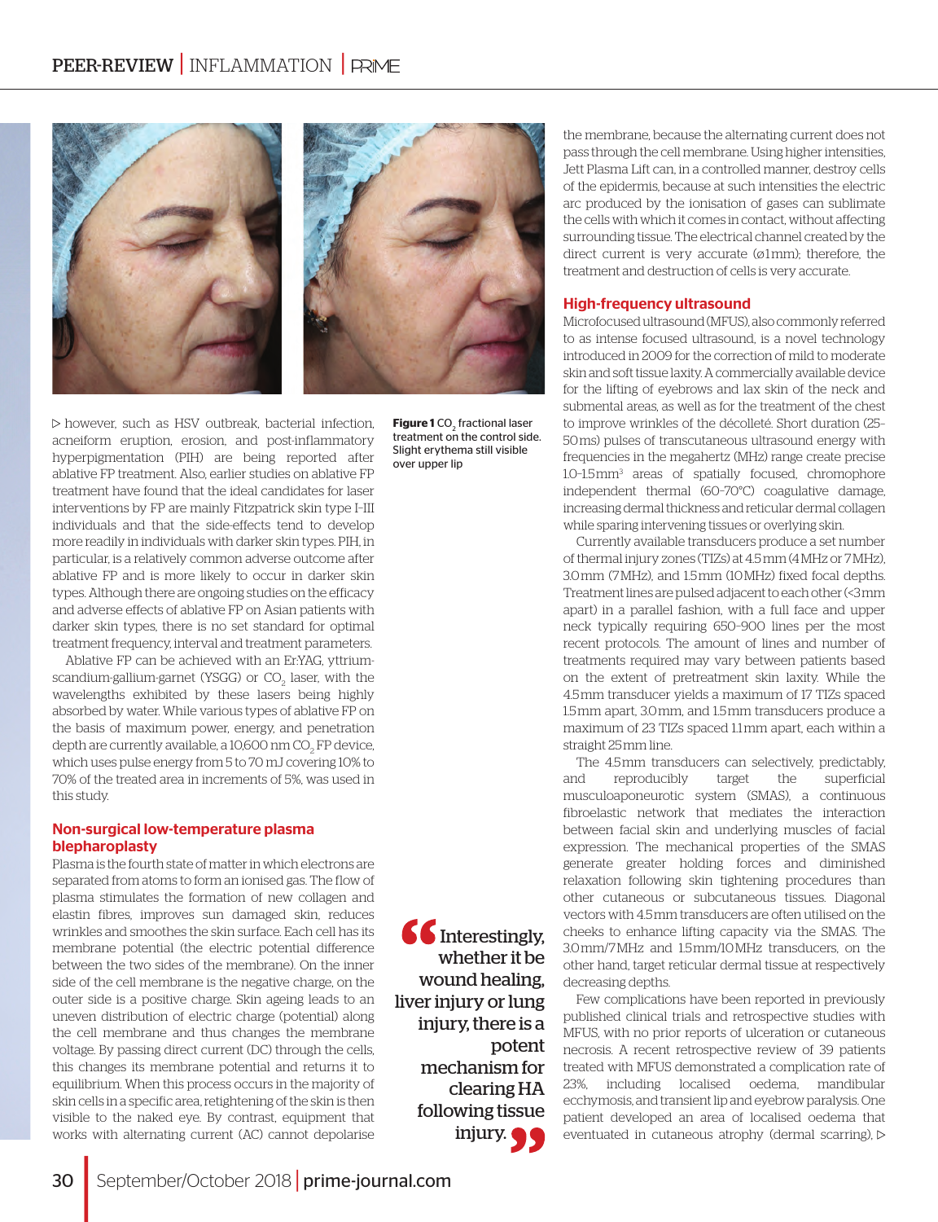

**Figure 1** CO<sub>2</sub> fractional laser treatment on the control side. Slight erythema still visible over upper lip

 $\triangleright$  however, such as HSV outbreak, bacterial infection, acneiform eruption, erosion, and post-inflammatory hyperpigmentation (PIH) are being reported after ablative FP treatment. Also, earlier studies on ablative FP treatment have found that the ideal candidates for laser interventions by FP are mainly Fitzpatrick skin type I–III individuals and that the side-effects tend to develop more readily in individuals with darker skin types. PIH, in particular, is a relatively common adverse outcome after ablative FP and is more likely to occur in darker skin types. Although there are ongoing studies on the efficacy and adverse effects of ablative FP on Asian patients with darker skin types, there is no set standard for optimal treatment frequency, interval and treatment parameters.

Ablative FP can be achieved with an Er:YAG, yttriumscandium-gallium-garnet (YSGG) or  $\mathrm{CO}_2$  laser, with the wavelengths exhibited by these lasers being highly absorbed by water. While various types of ablative FP on the basis of maximum power, energy, and penetration depth are currently available, a 10,600 nm CO $_{\rm _2}$ FP device, which uses pulse energy from 5 to 70 mJ covering 10% to 70% of the treated area in increments of 5%, was used in this study.

## Non-surgical low-temperature plasma blepharoplasty

Plasma is the fourth state of matter in which electrons are separated from atoms to form an ionised gas. The flow of plasma stimulates the formation of new collagen and elastin fibres, improves sun damaged skin, reduces wrinkles and smoothes the skin surface. Each cell has its membrane potential (the electric potential difference between the two sides of the membrane). On the inner side of the cell membrane is the negative charge, on the outer side is a positive charge. Skin ageing leads to an uneven distribution of electric charge (potential) along the cell membrane and thus changes the membrane voltage. By passing direct current (DC) through the cells, this changes its membrane potential and returns it to equilibrium. When this process occurs in the majority of skin cells in a specific area, retightening of the skin is then visible to the naked eye. By contrast, equipment that works with alternating current (AC) cannot depolarise

 $66$  Interestingly, whether it be wound healing, liver injury or lung injury, there is a potent mechanism for clearing HA following tissue injury.

the membrane, because the alternating current does not pass through the cell membrane. Using higher intensities, Jett Plasma Lift can, in a controlled manner, destroy cells of the epidermis, because at such intensities the electric arc produced by the ionisation of gases can sublimate the cells with which it comes in contact, without affecting surrounding tissue. The electrical channel created by the direct current is very accurate (ø1mm); therefore, the treatment and destruction of cells is very accurate.

### High-frequency ultrasound

Microfocused ultrasound (MFUS), also commonly referred to as intense focused ultrasound, is a novel technology introduced in 2009 for the correction of mild to moderate skin and soft tissue laxity. A commercially available device for the lifting of eyebrows and lax skin of the neck and submental areas, as well as for the treatment of the chest to improve wrinkles of the décolleté. Short duration (25– 50 ms) pulses of transcutaneous ultrasound energy with frequencies in the megahertz (MHz) range create precise 1.0–1.5 mm3 areas of spatially focused, chromophore independent thermal (60–70°C) coagulative damage, increasing dermal thickness and reticular dermal collagen while sparing intervening tissues or overlying skin.

Currently available transducers produce a set number of thermal injury zones (TIZs) at 4.5mm (4MHz or 7 MHz), 3.0 mm (7 MHz), and 1.5 mm (10 MHz) fixed focal depths. Treatment lines are pulsed adjacent to each other (<3 mm apart) in a parallel fashion, with a full face and upper neck typically requiring 650–900 lines per the most recent protocols. The amount of lines and number of treatments required may vary between patients based on the extent of pretreatment skin laxity. While the 4.5 mm transducer yields a maximum of 17 TIZs spaced 1.5 mm apart, 3.0 mm, and 1.5 mm transducers produce a maximum of 23 TIZs spaced 1.1 mm apart, each within a straight 25 mm line.

The 4.5 mm transducers can selectively, predictably, and reproducibly target the superficial musculoaponeurotic system (SMAS), a continuous fibroelastic network that mediates the interaction between facial skin and underlying muscles of facial expression. The mechanical properties of the SMAS generate greater holding forces and diminished relaxation following skin tightening procedures than other cutaneous or subcutaneous tissues. Diagonal vectors with 4.5 mm transducers are often utilised on the cheeks to enhance lifting capacity via the SMAS. The 3.0 mm/7 MHz and 1.5 mm/10 MHz transducers, on the other hand, target reticular dermal tissue at respectively decreasing depths.

Few complications have been reported in previously published clinical trials and retrospective studies with MFUS, with no prior reports of ulceration or cutaneous necrosis. A recent retrospective review of 39 patients treated with MFUS demonstrated a complication rate of 23%, including localised oedema, mandibular ecchymosis, and transient lip and eyebrow paralysis. One patient developed an area of localised oedema that eventuated in cutaneous atrophy (dermal scarring),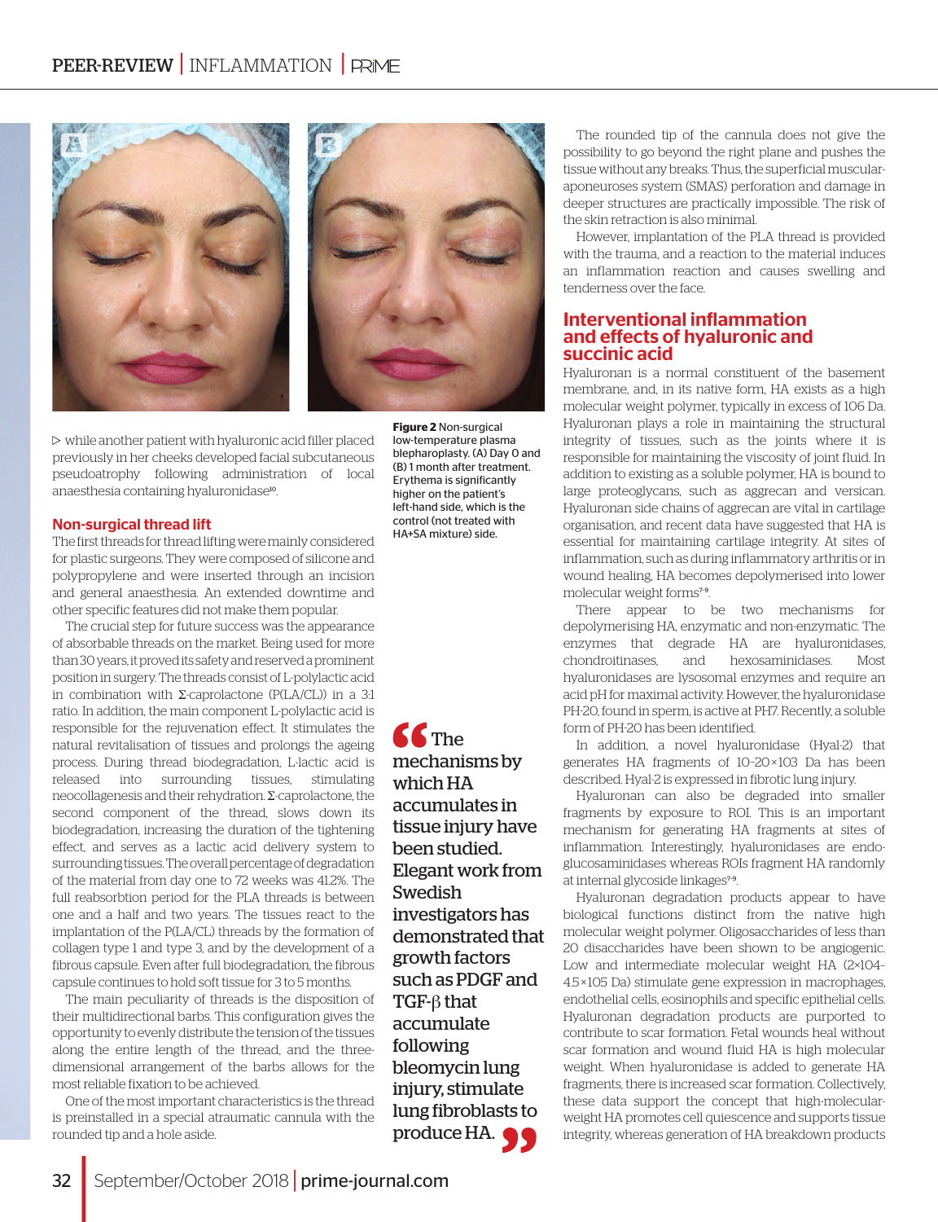

 $\triangleright$  while another patient with hyaluronic acid filler placed previously in her cheeks developed facial subcutaneous pseudoatrophy following administration of local anaesthesia containing hyaluronidase<sup>10</sup>.

### Non-surgical thread lift

The first threads for thread lifting were mainly considered for plastic surgeons. They were composed of silicone and polypropylene and were inserted through an incision and general anaesthesia. An extended downtime and other specific features did not make them popular.

The crucial step for future success was the appearance of absorbable threads on the market. Being used for more than 30 years, it proved its safety and reserved a prominent position in surgery. The threads consist of L-polylactic acid in combination with Σ-caprolactone (P(LA/CL)) in a 3:1 ratio. In addition, the main component L-polylactic acid is responsible for the rejuvenation effect. It stimulates the natural revitalisation of tissues and prolongs the ageing process. During thread biodegradation, L-lactic acid is released into surrounding tissues, stimulating neocollagenesis and their rehydration. Σ-caprolactone, the second component of the thread, slows down its biodegradation, increasing the duration of the tightening effect, and serves as a lactic acid delivery system to surrounding tissues. The overall percentage of degradation of the material from day one to 72 weeks was 41.2%. The full reabsorbtion period for the PLA threads is between one and a half and two years. The tissues react to the implantation of the P(LA/CL) threads by the formation of collagen type 1 and type 3, and by the development of a fibrous capsule. Even after full biodegradation, the fibrous capsule continues to hold soft tissue for 3 to 5 months.

The main peculiarity of threads is the disposition of their multidirectional barbs. This configuration gives the opportunity to evenly distribute the tension of the tissues along the entire length of the thread, and the threedimensional arrangement of the barbs allows for the most reliable fixation to be achieved.

One of the most important characteristics is the thread is preinstalled in a special atraumatic cannula with the rounded tip and a hole aside.

**C**<sub>The</sub> mechanisms by which HA accumulates in tissue injury have been studied. Elegant work from Swedish investigators has demonstrated that growth factors such as PDGF and TGF-β that accumulate following bleomycin lung injury, stimulate lung fibroblasts to produce HA.  $\bullet$ 

low-temperature plasma blepharoplasty. (A) Day 0 and (B) 1 month after treatment. Erythema is significantly higher on the patient's left-hand side, which is the control (not treated with HA+SA mixture) side.

The rounded tip of the cannula does not give the possibility to go beyond the right plane and pushes the tissue without any breaks. Thus, the superficial muscularaponeuroses system (SMAS) perforation and damage in deeper structures are practically impossible. The risk of the skin retraction is also minimal.

However, implantation of the PLA thread is provided with the trauma, and a reaction to the material induces an inflammation reaction and causes swelling and tenderness over the face.

## Interventional inflammation and effects of hyaluronic and succinic acid

Hyaluronan is a normal constituent of the basement membrane, and, in its native form, HA exists as a high molecular weight polymer, typically in excess of 106 Da. Hyaluronan plays a role in maintaining the structural integrity of tissues, such as the joints where it is responsible for maintaining the viscosity of joint fluid. In addition to existing as a soluble polymer, HA is bound to large proteoglycans, such as aggrecan and versican. Hyaluronan side chains of aggrecan are vital in cartilage organisation, and recent data have suggested that HA is essential for maintaining cartilage integrity. At sites of inflammation, such as during inflammatory arthritis or in wound healing, HA becomes depolymerised into lower molecular weight forms<sup>7-9</sup>.

There appear to be two mechanisms for depolymerising HA, enzymatic and non-enzymatic. The enzymes that degrade HA are hyaluronidases, chondroitinases, and hexosaminidases. Most hyaluronidases are lysosomal enzymes and require an acid pH for maximal activity. However, the hyaluronidase PH-20, found in sperm, is active at PH7. Recently, a soluble form of PH-20 has been identified.

In addition, a novel hyaluronidase (Hyal-2) that generates HA fragments of 10–20 × 103 Da has been described. Hyal-2 is expressed in fibrotic lung injury.

Hyaluronan can also be degraded into smaller fragments by exposure to ROI. This is an important mechanism for generating HA fragments at sites of inflammation. Interestingly, hyaluronidases are endoglucosaminidases whereas ROIs fragment HA randomly at internal glycoside linkages<sup>7-9</sup>.

Hyaluronan degradation products appear to have biological functions distinct from the native high molecular weight polymer. Oligosaccharides of less than 20 disaccharides have been shown to be angiogenic. Low and intermediate molecular weight HA (2×104– 4.5 × 105 Da) stimulate gene expression in macrophages, endothelial cells, eosinophils and specific epithelial cells. Hyaluronan degradation products are purported to contribute to scar formation. Fetal wounds heal without scar formation and wound fluid HA is high molecular weight. When hyaluronidase is added to generate HA fragments, there is increased scar formation. Collectively, these data support the concept that high-molecularweight HA promotes cell quiescence and supports tissue integrity, whereas generation of HA breakdown products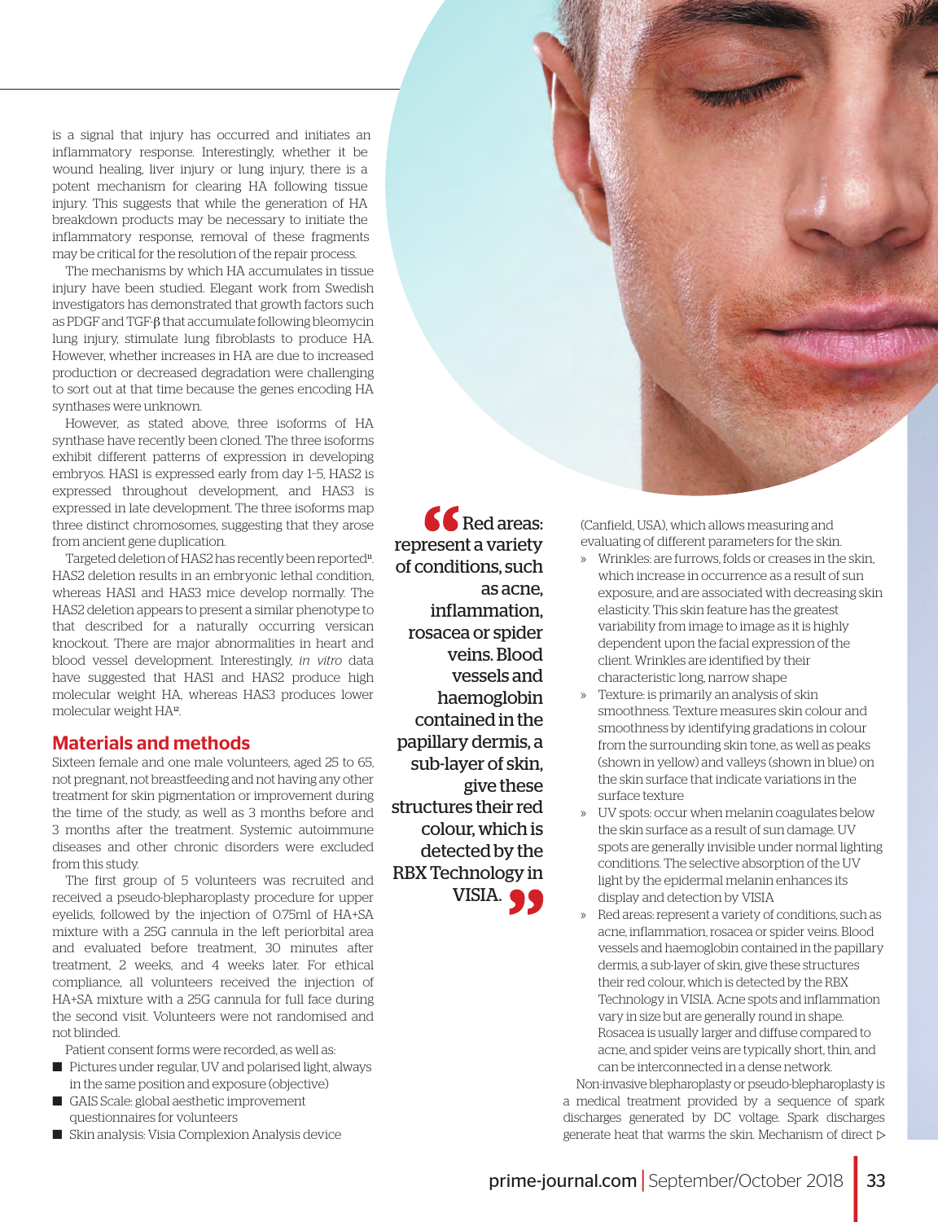is a signal that injury has occurred and initiates an inflammatory response. Interestingly, whether it be wound healing, liver injury or lung injury, there is a potent mechanism for clearing HA following tissue injury. This suggests that while the generation of HA breakdown products may be necessary to initiate the inflammatory response, removal of these fragments may be critical for the resolution of the repair process.

The mechanisms by which HA accumulates in tissue injury have been studied. Elegant work from Swedish investigators has demonstrated that growth factors such as PDGF and TGF-β that accumulate following bleomycin lung injury, stimulate lung fibroblasts to produce HA. However, whether increases in HA are due to increased production or decreased degradation were challenging to sort out at that time because the genes encoding HA synthases were unknown.

However, as stated above, three isoforms of HA synthase have recently been cloned. The three isoforms exhibit different patterns of expression in developing embryos. HAS1 is expressed early from day 1–5, HAS2 is expressed throughout development, and HAS3 is expressed in late development. The three isoforms map three distinct chromosomes, suggesting that they arose from ancient gene duplication.

Targeted deletion of HAS2 has recently been reported<sup>11</sup>. HAS2 deletion results in an embryonic lethal condition, whereas HAS1 and HAS3 mice develop normally. The HAS2 deletion appears to present a similar phenotype to that described for a naturally occurring versican knockout. There are major abnormalities in heart and blood vessel development. Interestingly, *in vitro* data have suggested that HAS1 and HAS2 produce high molecular weight HA, whereas HAS3 produces lower molecular weight HA12.

# Materials and methods

Sixteen female and one male volunteers, aged 25 to 65, not pregnant, not breastfeeding and not having any other treatment for skin pigmentation or improvement during the time of the study, as well as 3 months before and 3 months after the treatment. Systemic autoimmune diseases and other chronic disorders were excluded from this study.

The first group of 5 volunteers was recruited and received a pseudo-blepharoplasty procedure for upper eyelids, followed by the injection of 0.75ml of HA+SA mixture with a 25G cannula in the left periorbital area and evaluated before treatment, 30 minutes after treatment, 2 weeks, and 4 weeks later. For ethical compliance, all volunteers received the injection of HA+SA mixture with a 25G cannula for full face during the second visit. Volunteers were not randomised and not blinded.

Patient consent forms were recorded, as well as:

- Pictures under regular, UV and polarised light, always in the same position and exposure (objective)
- GAIS Scale: global aesthetic improvement questionnaires for volunteers
- Skin analysis: Visia Complexion Analysis device

 $\mathbf{\mathcal{C}}$ Red areas: represent a variety of conditions, such as acne, inflammation, rosacea or spider veins. Blood vessels and haemoglobin contained in the papillary dermis, a sub-layer of skin, give these structures their red colour, which is detected by the RBX Technology in VISIA.  $\bullet$ 

(Canfield, USA), which allows measuring and evaluating of different parameters for the skin.

- » Wrinkles: are furrows, folds or creases in the skin, which increase in occurrence as a result of sun exposure, and are associated with decreasing skin elasticity. This skin feature has the greatest variability from image to image as it is highly dependent upon the facial expression of the client. Wrinkles are identified by their characteristic long, narrow shape
- » Texture: is primarily an analysis of skin smoothness. Texture measures skin colour and smoothness by identifying gradations in colour from the surrounding skin tone, as well as peaks (shown in yellow) and valleys (shown in blue) on the skin surface that indicate variations in the surface texture
- » UV spots: occur when melanin coagulates below the skin surface as a result of sun damage. UV spots are generally invisible under normal lighting conditions. The selective absorption of the UV light by the epidermal melanin enhances its display and detection by VISIA
- » Red areas: represent a variety of conditions, such as acne, inflammation, rosacea or spider veins. Blood vessels and haemoglobin contained in the papillary dermis, a sub-layer of skin, give these structures their red colour, which is detected by the RBX Technology in VISIA. Acne spots and inflammation vary in size but are generally round in shape. Rosacea is usually larger and diffuse compared to acne, and spider veins are typically short, thin, and can be interconnected in a dense network.

Non-invasive blepharoplasty or pseudo-blepharoplasty is a medical treatment provided by a sequence of spark discharges generated by DC voltage. Spark discharges generate heat that warms the skin. Mechanism of direct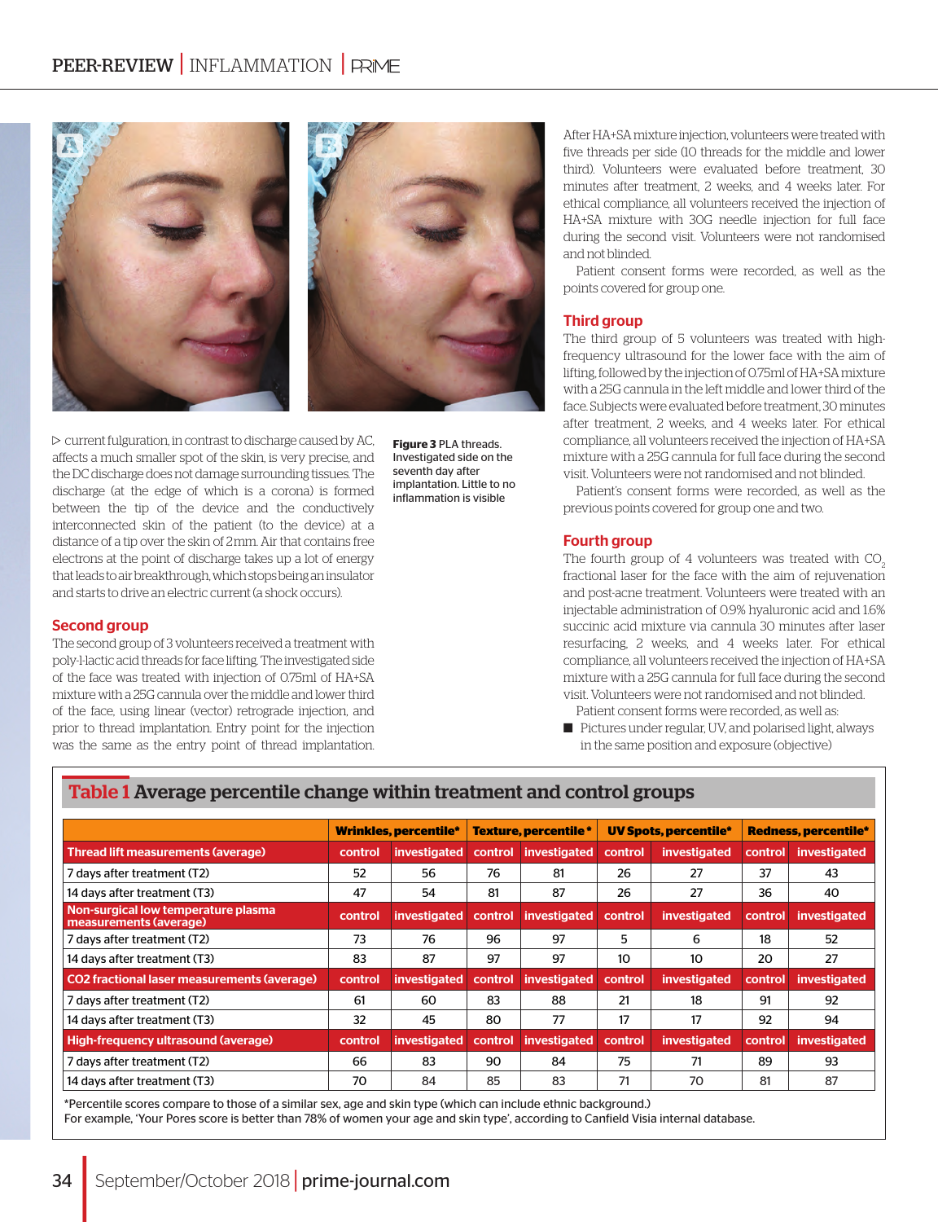

 $\triangleright$  current fulguration, in contrast to discharge caused by AC, affects a much smaller spot of the skin, is very precise, and the DC discharge does not damage surrounding tissues. The discharge (at the edge of which is a corona) is formed between the tip of the device and the conductively interconnected skin of the patient (to the device) at a distance of a tip over the skin of 2 mm. Air that contains free electrons at the point of discharge takes up a lot of energy that leads to air breakthrough, which stops being an insulator and starts to drive an electric current (a shock occurs).

## Second group

The second group of 3 volunteers received a treatment with poly-l-lactic acid threads for face lifting. The investigated side of the face was treated with injection of 0.75ml of HA+SA mixture with a 25G cannula over the middle and lower third of the face, using linear (vector) retrograde injection, and prior to thread implantation. Entry point for the injection was the same as the entry point of thread implantation.

After HA+SA mixture injection, volunteers were treated with five threads per side (10 threads for the middle and lower third). Volunteers were evaluated before treatment, 30 minutes after treatment, 2 weeks, and 4 weeks later. For ethical compliance, all volunteers received the injection of HA+SA mixture with 30G needle injection for full face during the second visit. Volunteers were not randomised and not blinded.

Patient consent forms were recorded, as well as the points covered for group one.

### Third group

The third group of 5 volunteers was treated with highfrequency ultrasound for the lower face with the aim of lifting, followed by the injection of 0.75ml of HA+SA mixture with a 25G cannula in the left middle and lower third of the face. Subjects were evaluated before treatment, 30 minutes after treatment, 2 weeks, and 4 weeks later. For ethical compliance, all volunteers received the injection of HA+SA mixture with a 25G cannula for full face during the second visit. Volunteers were not randomised and not blinded.

Patient's consent forms were recorded, as well as the previous points covered for group one and two.

### Fourth group

The fourth group of 4 volunteers was treated with CO. fractional laser for the face with the aim of rejuvenation and post-acne treatment. Volunteers were treated with an injectable administration of 0.9% hyaluronic acid and 1.6% succinic acid mixture via cannula 30 minutes after laser resurfacing, 2 weeks, and 4 weeks later. For ethical compliance, all volunteers received the injection of HA+SA mixture with a 25G cannula for full face during the second visit. Volunteers were not randomised and not blinded.

- Patient consent forms were recorded, as well as:
- Pictures under regular, UV, and polarised light, always in the same position and exposure (objective)

|                                                               | <b>Wrinkles, percentile*</b> |              | <b>Texture, percentile *</b> |              | <b>UV Spots, percentile*</b> |                     | <b>Redness, percentile*</b> |                     |
|---------------------------------------------------------------|------------------------------|--------------|------------------------------|--------------|------------------------------|---------------------|-----------------------------|---------------------|
| Thread lift measurements (average)                            | control                      | investigated | control                      | investigated | control                      | <i>investigated</i> | control                     | <i>investigated</i> |
| 7 days after treatment (T2)                                   | 52                           | 56           | 76                           | 81           | 26                           | 27                  | 37                          | 43                  |
| 14 days after treatment (T3)                                  | 47                           | 54           | 81                           | 87           | 26                           | 27                  | 36                          | 40                  |
| Non-surgical low temperature plasma<br>measurements (average) | control                      | investigated | control                      | investigated | control                      | investigated        | control                     | <b>investigated</b> |
| 7 days after treatment (T2)                                   | 73                           | 76           | 96                           | 97           | 5                            | 6                   | 18                          | 52                  |
| 14 days after treatment (T3)                                  | 83                           | 87           | 97                           | 97           | 10                           | 10                  | 20                          | 27                  |
| <b>CO2</b> fractional laser measurements (average)            | control                      | investigated | control                      | investigated | control                      | investigated        | control                     | investigated        |
| 7 days after treatment (T2)                                   | 61                           | 60           | 83                           | 88           | 21                           | 18                  | 91                          | 92                  |
| 14 days after treatment (T3)                                  | 32                           | 45           | 80                           | 77           | 17                           | 17                  | 92                          | 94                  |
| High-frequency ultrasound (average)                           | control                      | investigated | control                      | investigated | control                      | investigated        | control                     | investigated        |
| 7 days after treatment (T2)                                   | 66                           | 83           | 90                           | 84           | 75                           | 71                  | 89                          | 93                  |
| 14 days after treatment (T3)                                  | 70                           | 84           | 85                           | 83           | 71                           | 70                  | 81                          | 87                  |

**Figure 3** PLA threads. Investigated side on the seventh day after implantation. Little to no inflammation is visible

# Table 1 Average percentile change within treatment and control groups

\*Percentile scores compare to those of a similar sex, age and skin type (which can include ethnic background.) For example, 'Your Pores score is better than 78% of women your age and skin type', according to Canfield Visia internal database.